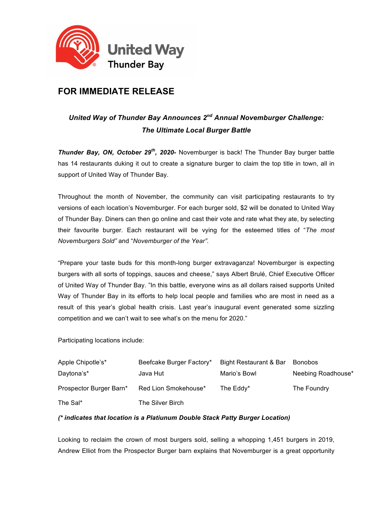

## **FOR IMMEDIATE RELEASE**

## *United Way of Thunder Bay Announces 2nd Annual Novemburger Challenge: The Ultimate Local Burger Battle*

*Thunder Bay, ON, October 29th, 2020-* Novemburger is back! The Thunder Bay burger battle has 14 restaurants duking it out to create a signature burger to claim the top title in town, all in support of United Way of Thunder Bay.

Throughout the month of November, the community can visit participating restaurants to try versions of each location's Novemburger. For each burger sold, \$2 will be donated to United Way of Thunder Bay. Diners can then go online and cast their vote and rate what they ate, by selecting their favourite burger. Each restaurant will be vying for the esteemed titles of "*The most Novemburgers Sold"* and "*Novemburger of the Year".*

"Prepare your taste buds for this month-long burger extravaganza! Novemburger is expecting burgers with all sorts of toppings, sauces and cheese," says Albert Brulé, Chief Executive Officer of United Way of Thunder Bay. "In this battle, everyone wins as all dollars raised supports United Way of Thunder Bay in its efforts to help local people and families who are most in need as a result of this year's global health crisis. Last year's inaugural event generated some sizzling competition and we can't wait to see what's on the menu for 2020."

Participating locations include:

| Apple Chipotle's*       | Beefcake Burger Factory* | Bight Restaurant & Bar | <b>Bonobos</b>     |
|-------------------------|--------------------------|------------------------|--------------------|
| Daytona's*              | Java Hut                 | Mario's Bowl           | Neebing Roadhouse* |
| Prospector Burger Barn* | Red Lion Smokehouse*     | The Eddy*              | The Foundry        |
| The Sal*                | The Silver Birch         |                        |                    |

## *(\* indicates that location is a Platiunum Double Stack Patty Burger Location)*

Looking to reclaim the crown of most burgers sold, selling a whopping 1,451 burgers in 2019, Andrew Elliot from the Prospector Burger barn explains that Novemburger is a great opportunity